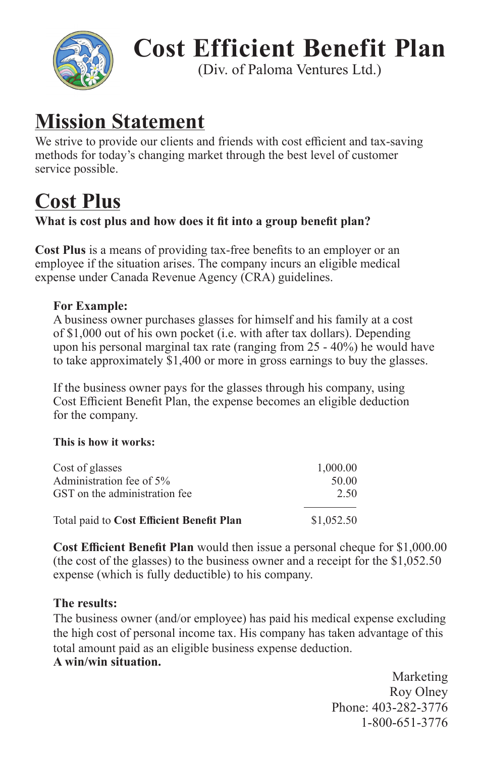

# **Cost Efficient Benefit Plan**

(Div. of Paloma Ventures Ltd.)

## **Mission Statement**

We strive to provide our clients and friends with cost efficient and tax-saving methods for today's changing market through the best level of customer service possible.

## **Cost Plus**

## What is cost plus and how does it fit into a group benefit plan?

**Cost Plus** is a means of providing tax-free benefits to an employer or an employee if the situation arises. The company incurs an eligible medical expense under Canada Revenue Agency (CRA) guidelines.

## **For Example:**

A business owner purchases glasses for himself and his family at a cost of \$1,000 out of his own pocket (i.e. with after tax dollars). Depending upon his personal marginal tax rate (ranging from 25 - 40%) he would have to take approximately \$1,400 or more in gross earnings to buy the glasses.

If the business owner pays for the glasses through his company, using Cost Efficient Benefit Plan, the expense becomes an eligible deduction for the company.

### **This is how it works:**

| Cost of glasses                           | 1,000.00   |
|-------------------------------------------|------------|
| Administration fee of 5%                  | 50.00      |
| GST on the administration fee             | 2.50       |
| Total paid to Cost Efficient Benefit Plan | \$1,052.50 |

**Cost Efficient Benefit Plan** would then issue a personal cheque for \$1,000.00 (the cost of the glasses) to the business owner and a receipt for the \$1,052.50 expense (which is fully deductible) to his company.

### **The results:**

The business owner (and/or employee) has paid his medical expense excluding the high cost of personal income tax. His company has taken advantage of this total amount paid as an eligible business expense deduction. **A win/win situation.**

> Marketing Roy Olney Phone: 403-282-3776 1-800-651-3776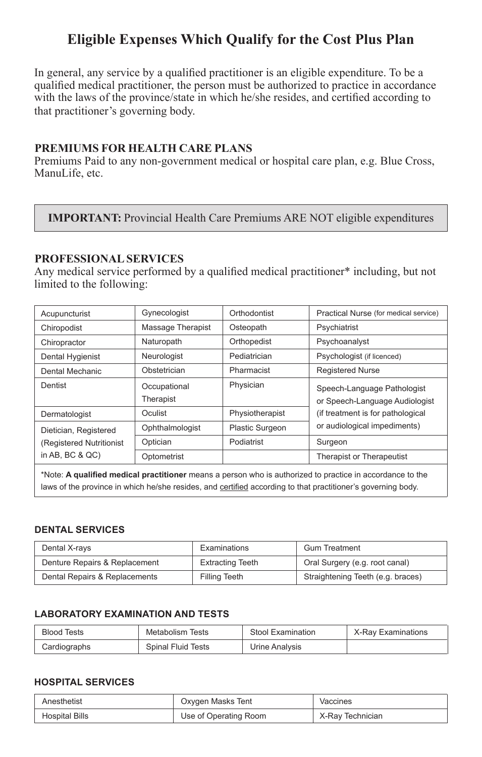## **Eligible Expenses Which Qualify for the Cost Plus Plan**

In general, any service by a qualified practitioner is an eligible expenditure. To be a qualified medical practitioner, the person must be authorized to practice in accordance with the laws of the province/state in which he/she resides, and certified according to that practitioner's governing body.

#### **PREMIUMS FOR HEALTH CARE PLANS**

Premiums Paid to any non-government medical or hospital care plan, e.g. Blue Cross, ManuLife, etc.

#### **IMPORTANT:** Provincial Health Care Premiums ARE NOT eligible expenditures

#### **PROFESSIONAL SERVICES**

Any medical service performed by a qualified medical practitioner\* including, but not limited to the following:

| Acupuncturist            | Gynecologist              | Orthodontist           | Practical Nurse (for medical service)                         |
|--------------------------|---------------------------|------------------------|---------------------------------------------------------------|
| Chiropodist              | Massage Therapist         | Osteopath              | Psychiatrist                                                  |
| Chiropractor             | Naturopath                | Orthopedist            | Psychoanalyst                                                 |
| Dental Hygienist         | Neurologist               | Pediatrician           | Psychologist (if licenced)                                    |
| Dental Mechanic          | Obstetrician              | Pharmacist             | <b>Registered Nurse</b>                                       |
| Dentist                  | Occupational<br>Therapist | Physician              | Speech-Language Pathologist<br>or Speech-Language Audiologist |
| Dermatologist            | Oculist                   | Physiotherapist        | (if treatment is for pathological                             |
| Dietician, Registered    | Ophthalmologist           | <b>Plastic Surgeon</b> | or audiological impediments)                                  |
| (Registered Nutritionist | Optician                  | Podiatrist             | Surgeon                                                       |
| in AB, BC $&$ QC)        | Optometrist               |                        | Therapist or Therapeutist                                     |
|                          |                           |                        |                                                               |

\*Note: **A qualified medical practitioner** means a person who is authorized to practice in accordance to the laws of the province in which he/she resides, and certified according to that practitioner's governing body.

#### **DENTAL SERVICES**

| Dental X-rays                 | Examinations     | <b>Gum Treatment</b>              |
|-------------------------------|------------------|-----------------------------------|
| Denture Repairs & Replacement | Extracting Teeth | Oral Surgery (e.g. root canal)    |
| Dental Repairs & Replacements | Filling Teeth    | Straightening Teeth (e.g. braces) |

#### **LABORATORY EXAMINATION AND TESTS**

| <b>Blood Tests</b> | Metabolism Tests          | Stool Examination | X-Ray Examinations |
|--------------------|---------------------------|-------------------|--------------------|
| Cardiographs       | <b>Spinal Fluid Tests</b> | Urine Analysis    |                    |

#### **HOSPITAL SERVICES**

| Anesthetist    | Oxygen Masks Tent     | Vaccines         |
|----------------|-----------------------|------------------|
| Hospital Bills | Use of Operating Room | X-Rav Technician |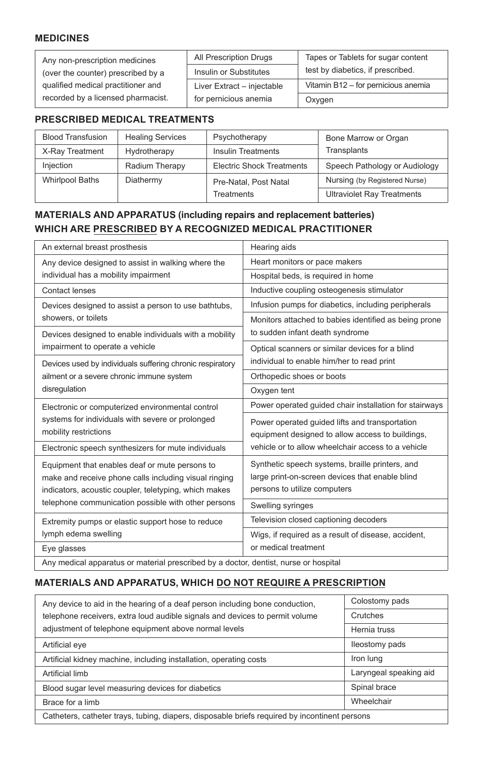#### **MEDICINES**

| Any non-prescription medicines     | All Prescription Drugs     | Tapes or Tablets for sugar content  |
|------------------------------------|----------------------------|-------------------------------------|
| (over the counter) prescribed by a | Insulin or Substitutes     | test by diabetics, if prescribed.   |
| qualified medical practitioner and | Liver Extract - injectable | Vitamin B12 - for pernicious anemia |
| recorded by a licensed pharmacist. | for pernicious anemia      | Oxygen                              |

#### **PRESCRIBED MEDICAL TREATMENTS**

| <b>Blood Transfusion</b> | <b>Healing Services</b> | Psychotherapy                    | Bone Marrow or Organ              |
|--------------------------|-------------------------|----------------------------------|-----------------------------------|
| X-Ray Treatment          | Hydrotherapy            | <b>Insulin Treatments</b>        | Transplants                       |
| <b>Injection</b>         | Radium Therapy          | <b>Electric Shock Treatments</b> | Speech Pathology or Audiology     |
| <b>Whirlpool Baths</b>   | Diathermy               | Pre-Natal, Post Natal            | Nursing (by Registered Nurse)     |
|                          |                         | <b>Treatments</b>                | <b>Ultraviolet Ray Treatments</b> |

#### **MATERIALS AND APPARATUS (including repairs and replacement batteries) WHICH ARE PRESCRIBED BY A RECOGNIZED MEDICAL PRACTITIONER**

| An external breast prosthesis                                                        | Hearing aids                                           |  |
|--------------------------------------------------------------------------------------|--------------------------------------------------------|--|
| Any device designed to assist in walking where the                                   | Heart monitors or pace makers                          |  |
| individual has a mobility impairment                                                 | Hospital beds, is required in home                     |  |
| Contact lenses                                                                       | Inductive coupling osteogenesis stimulator             |  |
| Devices designed to assist a person to use bathtubs,                                 | Infusion pumps for diabetics, including peripherals    |  |
| showers, or toilets                                                                  | Monitors attached to babies identified as being prone  |  |
| Devices designed to enable individuals with a mobility                               | to sudden infant death syndrome                        |  |
| impairment to operate a vehicle                                                      | Optical scanners or similar devices for a blind        |  |
| Devices used by individuals suffering chronic respiratory                            | individual to enable him/her to read print             |  |
| ailment or a severe chronic immune system                                            | Orthopedic shoes or boots                              |  |
| disregulation                                                                        | Oxygen tent                                            |  |
| Electronic or computerized environmental control                                     | Power operated guided chair installation for stairways |  |
| systems for individuals with severe or prolonged                                     | Power operated guided lifts and transportation         |  |
| mobility restrictions                                                                | equipment designed to allow access to buildings,       |  |
| Electronic speech synthesizers for mute individuals                                  | vehicle or to allow wheelchair access to a vehicle     |  |
| Equipment that enables deaf or mute persons to                                       | Synthetic speech systems, braille printers, and        |  |
| make and receive phone calls including visual ringing                                | large print-on-screen devices that enable blind        |  |
| indicators, acoustic coupler, teletyping, which makes                                | persons to utilize computers                           |  |
| telephone communication possible with other persons                                  | Swelling syringes                                      |  |
| Extremity pumps or elastic support hose to reduce                                    | Television closed captioning decoders                  |  |
| lymph edema swelling                                                                 | Wigs, if required as a result of disease, accident,    |  |
| Eye glasses                                                                          | or medical treatment                                   |  |
| Any medical apparatus or material prescribed by a doctor, dentist, nurse or hospital |                                                        |  |

#### **MATERIALS AND APPARATUS, WHICH DO NOT REQUIRE A PRESCRIPTION**

| Any device to aid in the hearing of a deaf person including bone conduction,                  | Colostomy pads         |  |
|-----------------------------------------------------------------------------------------------|------------------------|--|
| telephone receivers, extra loud audible signals and devices to permit volume                  | Crutches               |  |
| adjustment of telephone equipment above normal levels                                         | Hernia truss           |  |
| Artificial eye                                                                                | lleostomy pads         |  |
| Artificial kidney machine, including installation, operating costs                            | Iron lung              |  |
| Artificial limb                                                                               | Laryngeal speaking aid |  |
| Blood sugar level measuring devices for diabetics                                             | Spinal brace           |  |
| Brace for a limb                                                                              | Wheelchair             |  |
| Catheters, catheter trays, tubing, diapers, disposable briefs required by incontinent persons |                        |  |